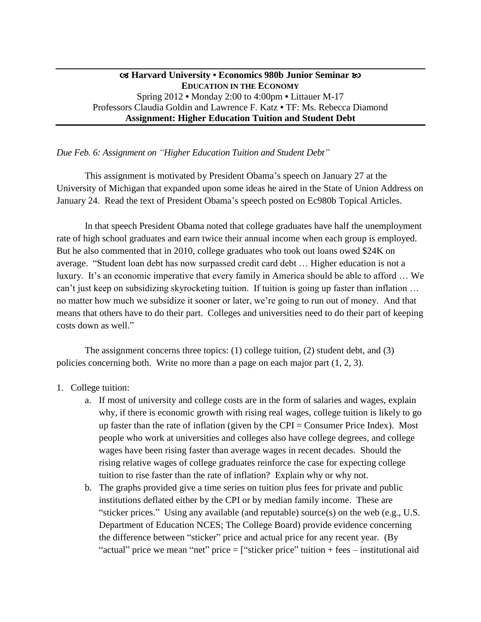## **Harvard University • Economics 980b Junior Seminar EDUCATION IN THE ECONOMY** Spring 2012 **•** Monday 2:00 to 4:00pm **•** Littauer M-17 Professors Claudia Goldin and Lawrence F. Katz **•** TF: Ms. Rebecca Diamond **Assignment: Higher Education Tuition and Student Debt**

*Due Feb. 6: Assignment on "Higher Education Tuition and Student Debt"*

This assignment is motivated by President Obama's speech on January 27 at the University of Michigan that expanded upon some ideas he aired in the State of Union Address on January 24. Read the text of President Obama's speech posted on Ec980b Topical Articles.

In that speech President Obama noted that college graduates have half the unemployment rate of high school graduates and earn twice their annual income when each group is employed. But he also commented that in 2010, college graduates who took out loans owed \$24K on average. "Student loan debt has now surpassed credit card debt … Higher education is not a luxury. It's an economic imperative that every family in America should be able to afford … We can't just keep on subsidizing skyrocketing tuition. If tuition is going up faster than inflation … no matter how much we subsidize it sooner or later, we're going to run out of money. And that means that others have to do their part. Colleges and universities need to do their part of keeping costs down as well."

The assignment concerns three topics: (1) college tuition, (2) student debt, and (3) policies concerning both. Write no more than a page on each major part (1, 2, 3).

- 1. College tuition:
	- a. If most of university and college costs are in the form of salaries and wages, explain why, if there is economic growth with rising real wages, college tuition is likely to go up faster than the rate of inflation (given by the CPI = Consumer Price Index). Most people who work at universities and colleges also have college degrees, and college wages have been rising faster than average wages in recent decades. Should the rising relative wages of college graduates reinforce the case for expecting college tuition to rise faster than the rate of inflation? Explain why or why not.
	- b. The graphs provided give a time series on tuition plus fees for private and public institutions deflated either by the CPI or by median family income. These are "sticker prices." Using any available (and reputable) source(s) on the web (e.g., U.S. Department of Education NCES; The College Board) provide evidence concerning the difference between "sticker" price and actual price for any recent year. (By "actual" price we mean "net" price = ["sticker price" tuition + fees – institutional aid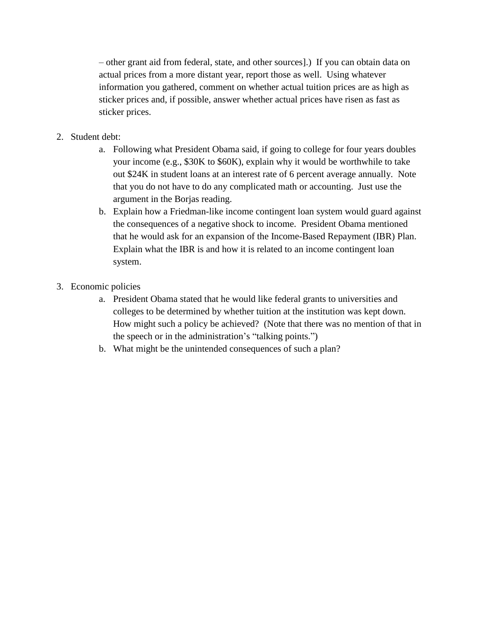– other grant aid from federal, state, and other sources].) If you can obtain data on actual prices from a more distant year, report those as well. Using whatever information you gathered, comment on whether actual tuition prices are as high as sticker prices and, if possible, answer whether actual prices have risen as fast as sticker prices.

- 2. Student debt:
	- a. Following what President Obama said, if going to college for four years doubles your income (e.g., \$30K to \$60K), explain why it would be worthwhile to take out \$24K in student loans at an interest rate of 6 percent average annually. Note that you do not have to do any complicated math or accounting. Just use the argument in the Borjas reading.
	- b. Explain how a Friedman-like income contingent loan system would guard against the consequences of a negative shock to income. President Obama mentioned that he would ask for an expansion of the Income-Based Repayment (IBR) Plan. Explain what the IBR is and how it is related to an income contingent loan system.
- 3. Economic policies
	- a. President Obama stated that he would like federal grants to universities and colleges to be determined by whether tuition at the institution was kept down. How might such a policy be achieved? (Note that there was no mention of that in the speech or in the administration's "talking points.")
	- b. What might be the unintended consequences of such a plan?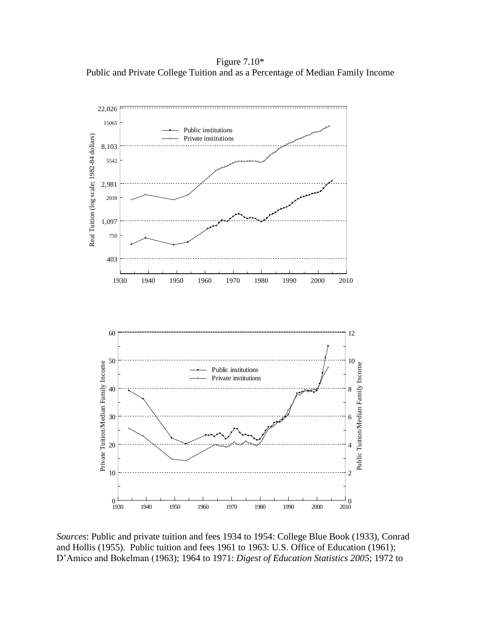Figure 7.10\* Public and Private College Tuition and as a Percentage of Median Family Income



*Sources*: Public and private tuition and fees 1934 to 1954: College Blue Book (1933), Conrad and Hollis (1955). Public tuition and fees 1961 to 1963: U.S. Office of Education (1961); D'Amico and Bokelman (1963); 1964 to 1971: *Digest of Education Statistics 2005*; 1972 to